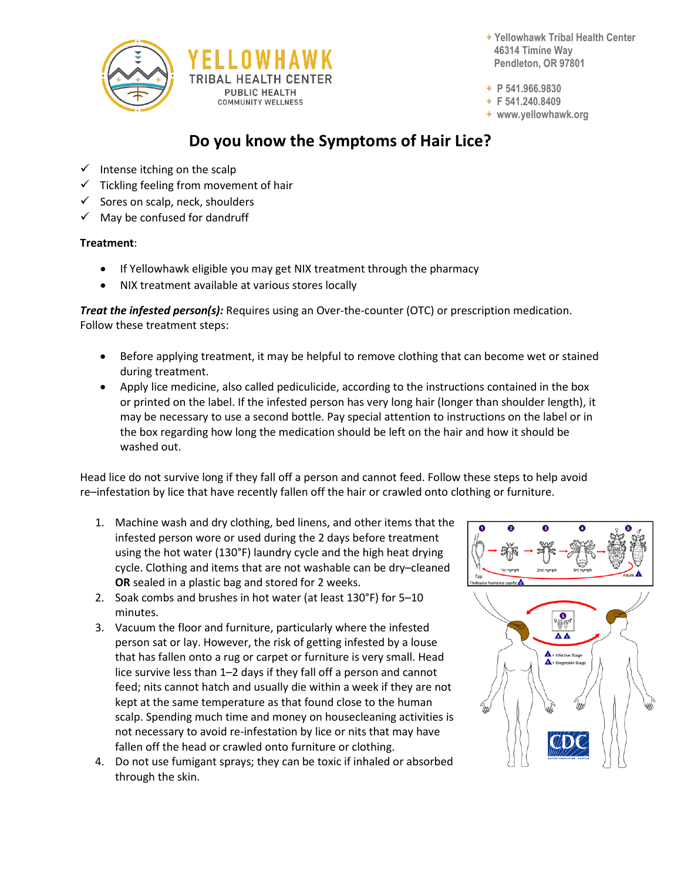

**+ Yellowhawk Tribal Health Center 46314 Timíne Way Pendleton, OR 97801**

**+ P 541.966.9830**

**+ F 541.240.8409**

**+ www.yellowhawk.org**

## **Do you know the Symptoms of Hair Lice?**

- $\checkmark$  Intense itching on the scalp
- $\checkmark$  Tickling feeling from movement of hair
- Sores on scalp, neck, shoulders
- $\checkmark$  May be confused for dandruff

## **Treatment**:

- If Yellowhawk eligible you may get NIX treatment through the pharmacy
- NIX treatment available at various stores locally

*Treat the infested person(s):* Requires using an Over-the-counter (OTC) or prescription medication. Follow these treatment steps:

- Before applying treatment, it may be helpful to remove clothing that can become wet or stained during treatment.
- Apply lice medicine, also called pediculicide, according to the instructions contained in the box or printed on the label. If the infested person has very long hair (longer than shoulder length), it may be necessary to use a second bottle. Pay special attention to instructions on the label or in the box regarding how long the medication should be left on the hair and how it should be washed out.

Head lice do not survive long if they fall off a person and cannot feed. Follow these steps to help avoid re–infestation by lice that have recently fallen off the hair or crawled onto clothing or furniture.

- 1. Machine wash and dry clothing, bed linens, and other items that the infested person wore or used during the 2 days before treatment using the hot water (130°F) laundry cycle and the high heat drying cycle. Clothing and items that are not washable can be dry–cleaned **OR** sealed in a plastic bag and stored for 2 weeks.
- 2. Soak combs and brushes in hot water (at least 130°F) for 5–10 minutes.
- 3. Vacuum the floor and furniture, particularly where the infested person sat or lay. However, the risk of getting infested by a louse that has fallen onto a rug or carpet or furniture is very small. Head lice survive less than 1–2 days if they fall off a person and cannot feed; nits cannot hatch and usually die within a week if they are not kept at the same temperature as that found close to the human scalp. Spending much time and money on housecleaning activities is not necessary to avoid re-infestation by lice or nits that may have fallen off the head or crawled onto furniture or clothing.
- 4. Do not use fumigant sprays; they can be toxic if inhaled or absorbed through the skin.